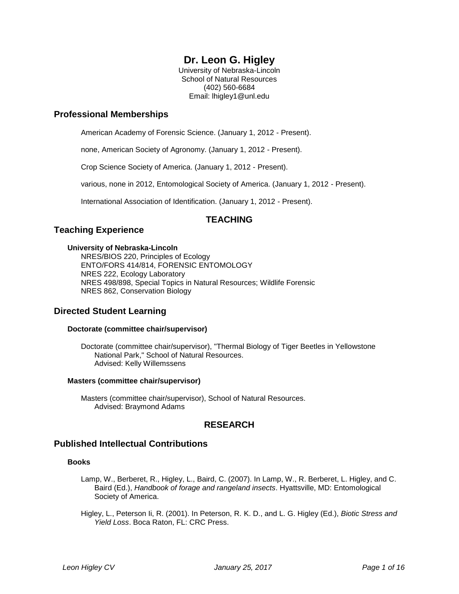# **Dr. Leon G. Higley**

University of Nebraska-Lincoln School of Natural Resources (402) 560-6684 Email: lhigley1@unl.edu

# **Professional Memberships**

American Academy of Forensic Science. (January 1, 2012 - Present).

none, American Society of Agronomy. (January 1, 2012 - Present).

Crop Science Society of America. (January 1, 2012 - Present).

various, none in 2012, Entomological Society of America. (January 1, 2012 - Present).

International Association of Identification. (January 1, 2012 - Present).

# **TEACHING**

# **Teaching Experience**

### **University of Nebraska-Lincoln**

NRES/BIOS 220, Principles of Ecology ENTO/FORS 414/814, FORENSIC ENTOMOLOGY NRES 222, Ecology Laboratory NRES 498/898, Special Topics in Natural Resources; Wildlife Forensic NRES 862, Conservation Biology

# **Directed Student Learning**

### **Doctorate (committee chair/supervisor)**

Doctorate (committee chair/supervisor), "Thermal Biology of Tiger Beetles in Yellowstone National Park," School of Natural Resources. Advised: Kelly Willemssens

#### **Masters (committee chair/supervisor)**

Masters (committee chair/supervisor), School of Natural Resources. Advised: Braymond Adams

# **RESEARCH**

# **Published Intellectual Contributions**

### **Books**

- Lamp, W., Berberet, R., Higley, L., Baird, C. (2007). In Lamp, W., R. Berberet, L. Higley, and C. Baird (Ed.), *Handbook of forage and rangeland insects*. Hyattsville, MD: Entomological Society of America.
- Higley, L., Peterson Ii, R. (2001). In Peterson, R. K. D., and L. G. Higley (Ed.), *Biotic Stress and Yield Loss*. Boca Raton, FL: CRC Press.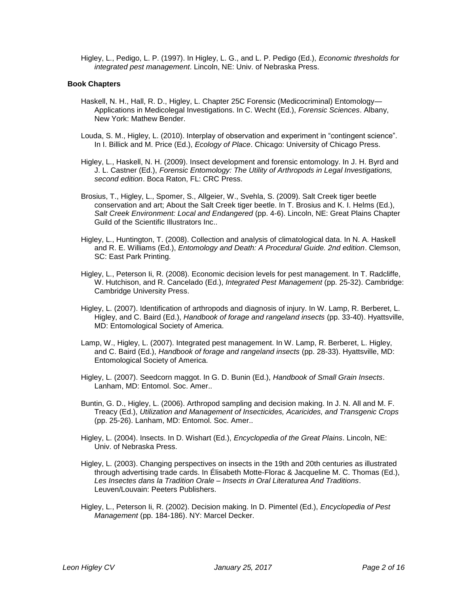Higley, L., Pedigo, L. P. (1997). In Higley, L. G., and L. P. Pedigo (Ed.), *Economic thresholds for integrated pest management*. Lincoln, NE: Univ. of Nebraska Press.

#### **Book Chapters**

- Haskell, N. H., Hall, R. D., Higley, L. Chapter 25C Forensic (Medicocriminal) Entomology— Applications in Medicolegal Investigations. In C. Wecht (Ed.), *Forensic Sciences*. Albany, New York: Mathew Bender.
- Louda, S. M., Higley, L. (2010). Interplay of observation and experiment in "contingent science". In I. Billick and M. Price (Ed.), *Ecology of Place*. Chicago: University of Chicago Press.
- Higley, L., Haskell, N. H. (2009). Insect development and forensic entomology. In J. H. Byrd and J. L. Castner (Ed.), *Forensic Entomology: The Utility of Arthropods in Legal Investigations, second edition*. Boca Raton, FL: CRC Press.
- Brosius, T., Higley, L., Spomer, S., Allgeier, W., Svehla, S. (2009). Salt Creek tiger beetle conservation and art; About the Salt Creek tiger beetle. In T. Brosius and K. I. Helms (Ed.), *Salt Creek Environment: Local and Endangered* (pp. 4-6). Lincoln, NE: Great Plains Chapter Guild of the Scientific Illustrators Inc..
- Higley, L., Huntington, T. (2008). Collection and analysis of climatological data. In N. A. Haskell and R. E. Williams (Ed.), *Entomology and Death: A Procedural Guide. 2nd edition*. Clemson, SC: East Park Printing.
- Higley, L., Peterson Ii, R. (2008). Economic decision levels for pest management. In T. Radcliffe, W. Hutchison, and R. Cancelado (Ed.), *Integrated Pest Management* (pp. 25-32). Cambridge: Cambridge University Press.
- Higley, L. (2007). Identification of arthropods and diagnosis of injury. In W. Lamp, R. Berberet, L. Higley, and C. Baird (Ed.), *Handbook of forage and rangeland insects* (pp. 33-40). Hyattsville, MD: Entomological Society of America.
- Lamp, W., Higley, L. (2007). Integrated pest management. In W. Lamp, R. Berberet, L. Higley, and C. Baird (Ed.), *Handbook of forage and rangeland insects* (pp. 28-33). Hyattsville, MD: Entomological Society of America.
- Higley, L. (2007). Seedcorn maggot. In G. D. Bunin (Ed.), *Handbook of Small Grain Insects*. Lanham, MD: Entomol. Soc. Amer..
- Buntin, G. D., Higley, L. (2006). Arthropod sampling and decision making. In J. N. All and M. F. Treacy (Ed.), *Utilization and Management of Insecticides, Acaricides, and Transgenic Crops* (pp. 25-26). Lanham, MD: Entomol. Soc. Amer..
- Higley, L. (2004). Insects. In D. Wishart (Ed.), *Encyclopedia of the Great Plains*. Lincoln, NE: Univ. of Nebraska Press.
- Higley, L. (2003). Changing perspectives on insects in the 19th and 20th centuries as illustrated through advertising trade cards. In Élisabeth Motte-Florac & Jacqueline M. C. Thomas (Ed.), *Les Insectes dans la Tradition Orale – Insects in Oral Literaturea And Traditions*. Leuven/Louvain: Peeters Publishers.
- Higley, L., Peterson Ii, R. (2002). Decision making. In D. Pimentel (Ed.), *Encyclopedia of Pest Management* (pp. 184-186). NY: Marcel Decker.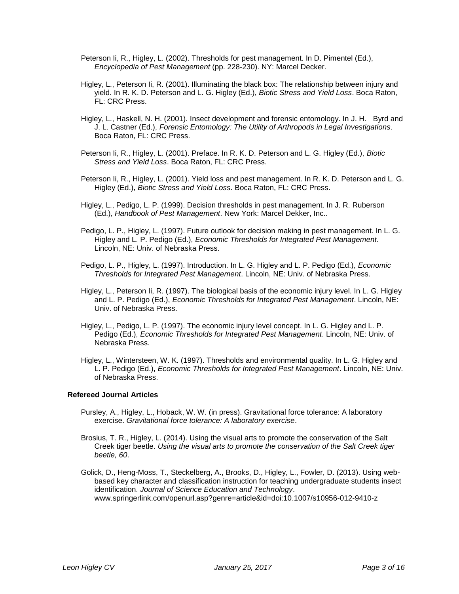- Peterson Ii, R., Higley, L. (2002). Thresholds for pest management. In D. Pimentel (Ed.), *Encyclopedia of Pest Management* (pp. 228-230). NY: Marcel Decker.
- Higley, L., Peterson Ii, R. (2001). Illuminating the black box: The relationship between injury and yield. In R. K. D. Peterson and L. G. Higley (Ed.), *Biotic Stress and Yield Loss*. Boca Raton, FL: CRC Press.
- Higley, L., Haskell, N. H. (2001). Insect development and forensic entomology. In J. H. Byrd and J. L. Castner (Ed.), *Forensic Entomology: The Utility of Arthropods in Legal Investigations*. Boca Raton, FL: CRC Press.
- Peterson Ii, R., Higley, L. (2001). Preface. In R. K. D. Peterson and L. G. Higley (Ed.), *Biotic Stress and Yield Loss*. Boca Raton, FL: CRC Press.
- Peterson Ii, R., Higley, L. (2001). Yield loss and pest management. In R. K. D. Peterson and L. G. Higley (Ed.), *Biotic Stress and Yield Loss*. Boca Raton, FL: CRC Press.
- Higley, L., Pedigo, L. P. (1999). Decision thresholds in pest management. In J. R. Ruberson (Ed.), *Handbook of Pest Management*. New York: Marcel Dekker, Inc..
- Pedigo, L. P., Higley, L. (1997). Future outlook for decision making in pest management. In L. G. Higley and L. P. Pedigo (Ed.), *Economic Thresholds for Integrated Pest Management*. Lincoln, NE: Univ. of Nebraska Press.
- Pedigo, L. P., Higley, L. (1997). Introduction. In L. G. Higley and L. P. Pedigo (Ed.), *Economic Thresholds for Integrated Pest Management*. Lincoln, NE: Univ. of Nebraska Press.
- Higley, L., Peterson Ii, R. (1997). The biological basis of the economic injury level. In L. G. Higley and L. P. Pedigo (Ed.), *Economic Thresholds for Integrated Pest Management*. Lincoln, NE: Univ. of Nebraska Press.
- Higley, L., Pedigo, L. P. (1997). The economic injury level concept. In L. G. Higley and L. P. Pedigo (Ed.), *Economic Thresholds for Integrated Pest Management*. Lincoln, NE: Univ. of Nebraska Press.
- Higley, L., Wintersteen, W. K. (1997). Thresholds and environmental quality. In L. G. Higley and L. P. Pedigo (Ed.), *Economic Thresholds for Integrated Pest Management*. Lincoln, NE: Univ. of Nebraska Press.

#### **Refereed Journal Articles**

- Pursley, A., Higley, L., Hoback, W. W. (in press). Gravitational force tolerance: A laboratory exercise. *Gravitational force tolerance: A laboratory exercise*.
- Brosius, T. R., Higley, L. (2014). Using the visual arts to promote the conservation of the Salt Creek tiger beetle. *Using the visual arts to promote the conservation of the Salt Creek tiger beetle, 60*.
- Golick, D., Heng-Moss, T., Steckelberg, A., Brooks, D., Higley, L., Fowler, D. (2013). Using webbased key character and classification instruction for teaching undergraduate students insect identification. *Journal of Science Education and Technology*. www.springerlink.com/openurl.asp?genre=article&id=doi:10.1007/s10956-012-9410-z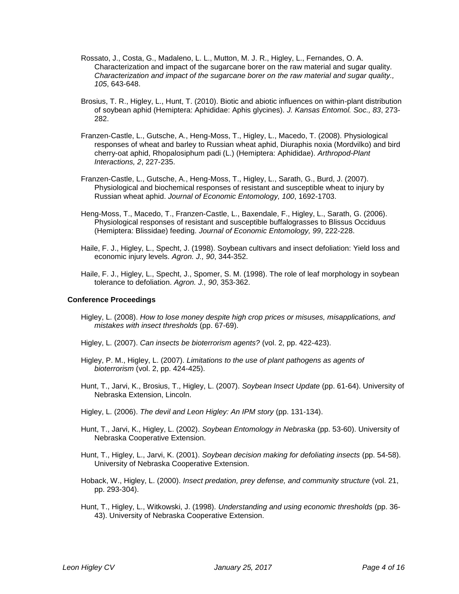- Rossato, J., Costa, G., Madaleno, L. L., Mutton, M. J. R., Higley, L., Fernandes, O. A. Characterization and impact of the sugarcane borer on the raw material and sugar quality. *Characterization and impact of the sugarcane borer on the raw material and sugar quality., 105*, 643-648.
- Brosius, T. R., Higley, L., Hunt, T. (2010). Biotic and abiotic influences on within-plant distribution of soybean aphid (Hemiptera: Aphididae: Aphis glycines). *J. Kansas Entomol. Soc., 83*, 273- 282.
- Franzen-Castle, L., Gutsche, A., Heng-Moss, T., Higley, L., Macedo, T. (2008). Physiological responses of wheat and barley to Russian wheat aphid, Diuraphis noxia (Mordvilko) and bird cherry-oat aphid, Rhopalosiphum padi (L.) (Hemiptera: Aphididae). *Arthropod-Plant Interactions, 2*, 227-235.
- Franzen-Castle, L., Gutsche, A., Heng-Moss, T., Higley, L., Sarath, G., Burd, J. (2007). Physiological and biochemical responses of resistant and susceptible wheat to injury by Russian wheat aphid. *Journal of Economic Entomology, 100*, 1692-1703.
- Heng-Moss, T., Macedo, T., Franzen-Castle, L., Baxendale, F., Higley, L., Sarath, G. (2006). Physiological responses of resistant and susceptible buffalograsses to Blissus Occiduus (Hemiptera: Blissidae) feeding. *Journal of Economic Entomology, 99*, 222-228.
- Haile, F. J., Higley, L., Specht, J. (1998). Soybean cultivars and insect defoliation: Yield loss and economic injury levels. *Agron. J., 90*, 344-352.
- Haile, F. J., Higley, L., Specht, J., Spomer, S. M. (1998). The role of leaf morphology in soybean tolerance to defoliation. *Agron. J., 90*, 353-362.

#### **Conference Proceedings**

- Higley, L. (2008). *How to lose money despite high crop prices or misuses, misapplications, and mistakes with insect thresholds* (pp. 67-69).
- Higley, L. (2007). *Can insects be bioterrorism agents?* (vol. 2, pp. 422-423).
- Higley, P. M., Higley, L. (2007). *Limitations to the use of plant pathogens as agents of bioterrorism* (vol. 2, pp. 424-425).
- Hunt, T., Jarvi, K., Brosius, T., Higley, L. (2007). *Soybean Insect Update* (pp. 61-64). University of Nebraska Extension, Lincoln.
- Higley, L. (2006). *The devil and Leon Higley: An IPM story* (pp. 131-134).
- Hunt, T., Jarvi, K., Higley, L. (2002). *Soybean Entomology in Nebraska* (pp. 53-60). University of Nebraska Cooperative Extension.
- Hunt, T., Higley, L., Jarvi, K. (2001). *Soybean decision making for defoliating insects* (pp. 54-58). University of Nebraska Cooperative Extension.
- Hoback, W., Higley, L. (2000). *Insect predation, prey defense, and community structure* (vol. 21, pp. 293-304).
- Hunt, T., Higley, L., Witkowski, J. (1998). *Understanding and using economic thresholds* (pp. 36- 43). University of Nebraska Cooperative Extension.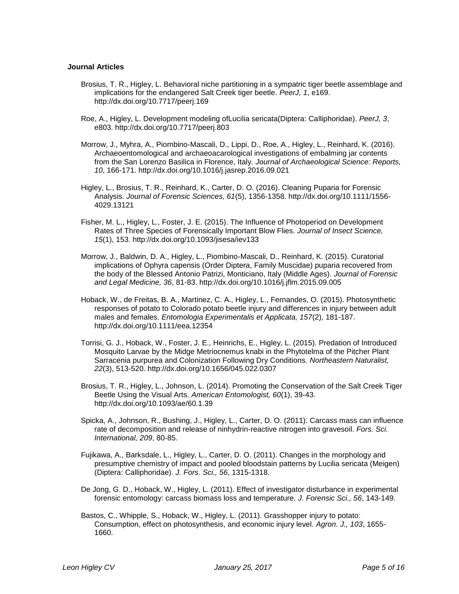#### **Journal Articles**

- Brosius, T. R., Higley, L. Behavioral niche partitioning in a sympatric tiger beetle assemblage and implications for the endangered Salt Creek tiger beetle. *PeerJ, 1*, e169. http://dx.doi.org/10.7717/peerj.169
- Roe, A., Higley, L. Development modeling ofLucilia sericata(Diptera: Calliphoridae). *PeerJ, 3*, e803. http://dx.doi.org/10.7717/peerj.803
- Morrow, J., Myhra, A., Piombino-Mascali, D., Lippi, D., Roe, A., Higley, L., Reinhard, K. (2016). Archaeoentomological and archaeoacarological investigations of embalming jar contents from the San Lorenzo Basilica in Florence, Italy. *Journal of Archaeological Science: Reports, 10*, 166-171. http://dx.doi.org/10.1016/j.jasrep.2016.09.021
- Higley, L., Brosius, T. R., Reinhard, K., Carter, D. O. (2016). Cleaning Puparia for Forensic Analysis. *Journal of Forensic Sciences, 61*(5), 1356-1358. http://dx.doi.org/10.1111/1556- 4029.13121
- Fisher, M. L., Higley, L., Foster, J. E. (2015). The Influence of Photoperiod on Development Rates of Three Species of Forensically Important Blow Flies. *Journal of Insect Science, 15*(1), 153. http://dx.doi.org/10.1093/jisesa/iev133
- Morrow, J., Baldwin, D. A., Higley, L., Piombino-Mascali, D., Reinhard, K. (2015). Curatorial implications of Ophyra capensis (Order Diptera, Family Muscidae) puparia recovered from the body of the Blessed Antonio Patrizi, Monticiano, Italy (Middle Ages). *Journal of Forensic and Legal Medicine, 36*, 81-83. http://dx.doi.org/10.1016/j.jflm.2015.09.005
- Hoback, W., de Freitas, B. A., Martinez, C. A., Higley, L., Fernandes, O. (2015). Photosynthetic responses of potato to Colorado potato beetle injury and differences in injury between adult males and females. *Entomologia Experimentalis et Applicata, 157*(2), 181-187. http://dx.doi.org/10.1111/eea.12354
- Torrisi, G. J., Hoback, W., Foster, J. E., Heinrichs, E., Higley, L. (2015). Predation of Introduced Mosquito Larvae by the Midge Metriocnemus knabi in the Phytotelma of the Pitcher Plant Sarracenia purpurea and Colonization Following Dry Conditions. *Northeastern Naturalist, 22*(3), 513-520. http://dx.doi.org/10.1656/045.022.0307
- Brosius, T. R., Higley, L., Johnson, L. (2014). Promoting the Conservation of the Salt Creek Tiger Beetle Using the Visual Arts. *American Entomologist, 60*(1), 39-43. http://dx.doi.org/10.1093/ae/60.1.39
- Spicka, A., Johnson, R., Bushing, J., Higley, L., Carter, D. O. (2011). Carcass mass can influence rate of decomposition and release of ninhydrin-reactive nitrogen into gravesoil. *Fors. Sci. International, 209*, 80-85.
- Fujikawa, A., Barksdale, L., Higley, L., Carter, D. O. (2011). Changes in the morphology and presumptive chemistry of impact and pooled bloodstain patterns by Lucilia sericata (Meigen) (Diptera: Calliphoridae). *J. Fors. Sci., 56*, 1315-1318.
- De Jong, G. D., Hoback, W., Higley, L. (2011). Effect of investigator disturbance in experimental forensic entomology: carcass biomass loss and temperature. *J. Forensic Sci., 56*, 143-149.
- Bastos, C., Whipple, S., Hoback, W., Higley, L. (2011). Grasshopper injury to potato: Consumption, effect on photosynthesis, and economic injury level. *Agron. J., 103*, 1655- 1660.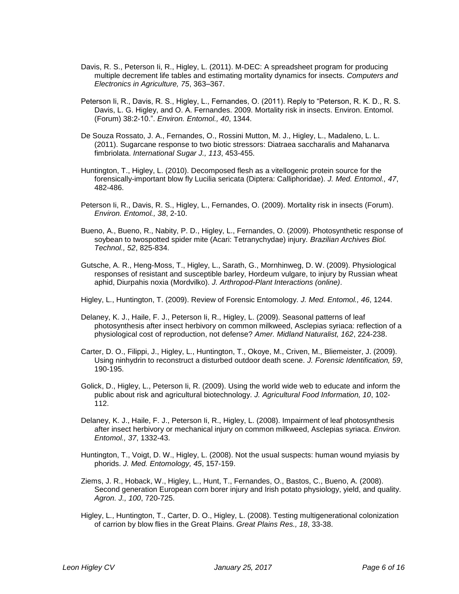- Davis, R. S., Peterson Ii, R., Higley, L. (2011). M-DEC: A spreadsheet program for producing multiple decrement life tables and estimating mortality dynamics for insects. *Computers and Electronics in Agriculture, 75*, 363–367.
- Peterson Ii, R., Davis, R. S., Higley, L., Fernandes, O. (2011). Reply to "Peterson, R. K. D., R. S. Davis, L. G. Higley, and O. A. Fernandes. 2009. Mortality risk in insects. Environ. Entomol. (Forum) 38:2-10.". *Environ. Entomol., 40*, 1344.
- De Souza Rossato, J. A., Fernandes, O., Rossini Mutton, M. J., Higley, L., Madaleno, L. L. (2011). Sugarcane response to two biotic stressors: Diatraea saccharalis and Mahanarva fimbriolata. *International Sugar J., 113*, 453-455.
- Huntington, T., Higley, L. (2010). Decomposed flesh as a vitellogenic protein source for the forensically-important blow fly Lucilia sericata (Diptera: Calliphoridae). *J. Med. Entomol., 47*, 482-486.
- Peterson Ii, R., Davis, R. S., Higley, L., Fernandes, O. (2009). Mortality risk in insects (Forum). *Environ. Entomol., 38*, 2-10.
- Bueno, A., Bueno, R., Nabity, P. D., Higley, L., Fernandes, O. (2009). Photosynthetic response of soybean to twospotted spider mite (Acari: Tetranychydae) injury. *Brazilian Archives Biol. Technol., 52*, 825-834.
- Gutsche, A. R., Heng-Moss, T., Higley, L., Sarath, G., Mornhinweg, D. W. (2009). Physiological responses of resistant and susceptible barley, Hordeum vulgare, to injury by Russian wheat aphid, Diurpahis noxia (Mordvilko). *J. Arthropod-Plant Interactions (online)*.
- Higley, L., Huntington, T. (2009). Review of Forensic Entomology. *J. Med. Entomol., 46*, 1244.
- Delaney, K. J., Haile, F. J., Peterson Ii, R., Higley, L. (2009). Seasonal patterns of leaf photosynthesis after insect herbivory on common milkweed, Asclepias syriaca: reflection of a physiological cost of reproduction, not defense? *Amer. Midland Naturalist, 162*, 224-238.
- Carter, D. O., Filippi, J., Higley, L., Huntington, T., Okoye, M., Criven, M., Bliemeister, J. (2009). Using ninhydrin to reconstruct a disturbed outdoor death scene. *J. Forensic Identification, 59*, 190-195.
- Golick, D., Higley, L., Peterson Ii, R. (2009). Using the world wide web to educate and inform the public about risk and agricultural biotechnology. *J. Agricultural Food Information, 10*, 102- 112.
- Delaney, K. J., Haile, F. J., Peterson Ii, R., Higley, L. (2008). Impairment of leaf photosynthesis after insect herbivory or mechanical injury on common milkweed, Asclepias syriaca. *Environ. Entomol., 37*, 1332-43.
- Huntington, T., Voigt, D. W., Higley, L. (2008). Not the usual suspects: human wound myiasis by phorids. *J. Med. Entomology, 45*, 157-159.
- Ziems, J. R., Hoback, W., Higley, L., Hunt, T., Fernandes, O., Bastos, C., Bueno, A. (2008). Second generation European corn borer injury and Irish potato physiology, yield, and quality. *Agron. J., 100*, 720-725.
- Higley, L., Huntington, T., Carter, D. O., Higley, L. (2008). Testing multigenerational colonization of carrion by blow flies in the Great Plains. *Great Plains Res., 18*, 33-38.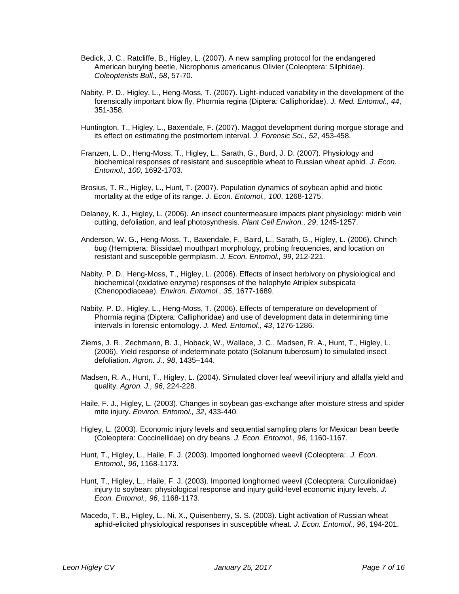- Bedick, J. C., Ratcliffe, B., Higley, L. (2007). A new sampling protocol for the endangered American burying beetle, Nicrophorus americanus Olivier (Coleoptera: Silphidae). *Coleopterists Bull., 58*, 57-70.
- Nabity, P. D., Higley, L., Heng-Moss, T. (2007). Light-induced variability in the development of the forensically important blow fly, Phormia regina (Diptera: Calliphoridae). *J. Med. Entomol., 44*, 351-358.
- Huntington, T., Higley, L., Baxendale, F. (2007). Maggot development during morgue storage and its effect on estimating the postmortem interval. *J. Forensic Sci., 52*, 453-458.
- Franzen, L. D., Heng-Moss, T., Higley, L., Sarath, G., Burd, J. D. (2007). Physiology and biochemical responses of resistant and susceptible wheat to Russian wheat aphid. *J. Econ. Entomol., 100*, 1692-1703.
- Brosius, T. R., Higley, L., Hunt, T. (2007). Population dynamics of soybean aphid and biotic mortality at the edge of its range. *J. Econ. Entomol., 100*, 1268-1275.
- Delaney, K. J., Higley, L. (2006). An insect countermeasure impacts plant physiology: midrib vein cutting, defoliation, and leaf photosynthesis. *Plant Cell Environ., 29*, 1245-1257.
- Anderson, W. G., Heng-Moss, T., Baxendale, F., Baird, L., Sarath, G., Higley, L. (2006). Chinch bug (Hemiptera: Blissidae) mouthpart morphology, probing frequencies, and location on resistant and susceptible germplasm. *J. Econ. Entomol., 99*, 212-221.
- Nabity, P. D., Heng-Moss, T., Higley, L. (2006). Effects of insect herbivory on physiological and biochemical (oxidative enzyme) responses of the halophyte Atriplex subspicata (Chenopodiaceae). *Environ. Entomol., 35*, 1677-1689.
- Nabity, P. D., Higley, L., Heng-Moss, T. (2006). Effects of temperature on development of Phormia regina (Diptera: Calliphoridae) and use of development data in determining time intervals in forensic entomology. *J. Med. Entomol., 43*, 1276-1286.
- Ziems, J. R., Zechmann, B. J., Hoback, W., Wallace, J. C., Madsen, R. A., Hunt, T., Higley, L. (2006). Yield response of indeterminate potato (Solanum tuberosum) to simulated insect defoliation. *Agron. J., 98*, 1435–144.
- Madsen, R. A., Hunt, T., Higley, L. (2004). Simulated clover leaf weevil injury and alfalfa yield and quality. *Agron. J., 96*, 224-228.
- Haile, F. J., Higley, L. (2003). Changes in soybean gas-exchange after moisture stress and spider mite injury. *Environ. Entomol., 32*, 433-440.
- Higley, L. (2003). Economic injury levels and sequential sampling plans for Mexican bean beetle (Coleoptera: Coccinellidae) on dry beans. *J. Econ. Entomol., 96*, 1160-1167.
- Hunt, T., Higley, L., Haile, F. J. (2003). Imported longhorned weevil (Coleoptera:. *J. Econ. Entomol., 96*, 1168-1173.
- Hunt, T., Higley, L., Haile, F. J. (2003). Imported longhorned weevil (Coleoptera: Curculionidae) injury to soybean: physiological response and injury guild-level economic injury levels. *J. Econ. Entomol., 96*, 1168-1173.
- Macedo, T. B., Higley, L., Ni, X., Quisenberry, S. S. (2003). Light activation of Russian wheat aphid-elicited physiological responses in susceptible wheat. *J. Econ. Entomol., 96*, 194-201.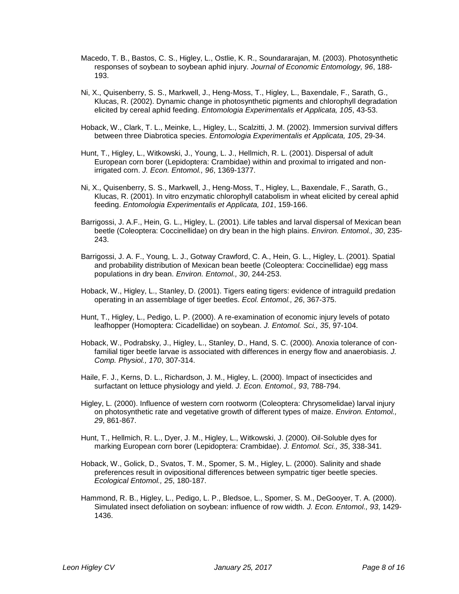- Macedo, T. B., Bastos, C. S., Higley, L., Ostlie, K. R., Soundararajan, M. (2003). Photosynthetic responses of soybean to soybean aphid injury. *Journal of Economic Entomology, 96*, 188- 193.
- Ni, X., Quisenberry, S. S., Markwell, J., Heng-Moss, T., Higley, L., Baxendale, F., Sarath, G., Klucas, R. (2002). Dynamic change in photosynthetic pigments and chlorophyll degradation elicited by cereal aphid feeding. *Entomologia Experimentalis et Applicata, 105*, 43-53.
- Hoback, W., Clark, T. L., Meinke, L., Higley, L., Scalzitti, J. M. (2002). Immersion survival differs between three Diabrotica species. *Entomologia Experimentalis et Applicata, 105*, 29-34.
- Hunt, T., Higley, L., Witkowski, J., Young, L. J., Hellmich, R. L. (2001). Dispersal of adult European corn borer (Lepidoptera: Crambidae) within and proximal to irrigated and nonirrigated corn. *J. Econ. Entomol., 96*, 1369-1377.
- Ni, X., Quisenberry, S. S., Markwell, J., Heng-Moss, T., Higley, L., Baxendale, F., Sarath, G., Klucas, R. (2001). In vitro enzymatic chlorophyll catabolism in wheat elicited by cereal aphid feeding. *Entomologia Experimentalis et Applicata, 101*, 159-166.
- Barrigossi, J. A.F., Hein, G. L., Higley, L. (2001). Life tables and larval dispersal of Mexican bean beetle (Coleoptera: Coccinellidae) on dry bean in the high plains. *Environ. Entomol., 30*, 235- 243.
- Barrigossi, J. A. F., Young, L. J., Gotway Crawford, C. A., Hein, G. L., Higley, L. (2001). Spatial and probability distribution of Mexican bean beetle (Coleoptera: Coccinellidae) egg mass populations in dry bean. *Environ. Entomol., 30*, 244-253.
- Hoback, W., Higley, L., Stanley, D. (2001). Tigers eating tigers: evidence of intraguild predation operating in an assemblage of tiger beetles. *Ecol. Entomol., 26*, 367-375.
- Hunt, T., Higley, L., Pedigo, L. P. (2000). A re-examination of economic injury levels of potato leafhopper (Homoptera: Cicadellidae) on soybean. *J. Entomol. Sci., 35*, 97-104.
- Hoback, W., Podrabsky, J., Higley, L., Stanley, D., Hand, S. C. (2000). Anoxia tolerance of confamilial tiger beetle larvae is associated with differences in energy flow and anaerobiasis. *J. Comp. Physiol., 170*, 307-314.
- Haile, F. J., Kerns, D. L., Richardson, J. M., Higley, L. (2000). Impact of insecticides and surfactant on lettuce physiology and yield. *J. Econ. Entomol., 93*, 788-794.
- Higley, L. (2000). Influence of western corn rootworm (Coleoptera: Chrysomelidae) larval injury on photosynthetic rate and vegetative growth of different types of maize. *Environ. Entomol., 29*, 861-867.
- Hunt, T., Hellmich, R. L., Dyer, J. M., Higley, L., Witkowski, J. (2000). Oil-Soluble dyes for marking European corn borer (Lepidoptera: Crambidae). *J. Entomol. Sci., 35*, 338-341.
- Hoback, W., Golick, D., Svatos, T. M., Spomer, S. M., Higley, L. (2000). Salinity and shade preferences result in ovipositional differences between sympatric tiger beetle species. *Ecological Entomol., 25*, 180-187.
- Hammond, R. B., Higley, L., Pedigo, L. P., Bledsoe, L., Spomer, S. M., DeGooyer, T. A. (2000). Simulated insect defoliation on soybean: influence of row width. *J. Econ. Entomol., 93*, 1429- 1436.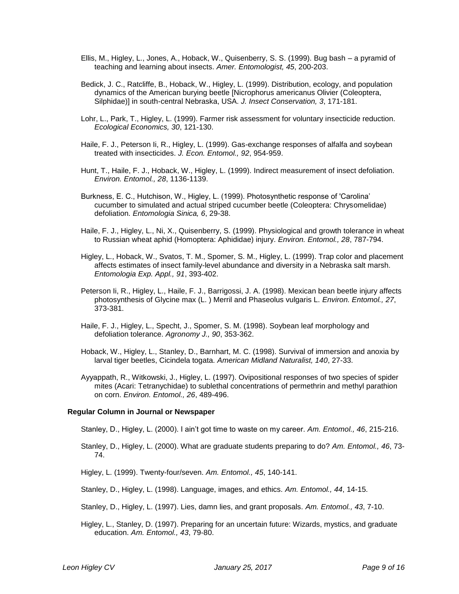- Ellis, M., Higley, L., Jones, A., Hoback, W., Quisenberry, S. S. (1999). Bug bash a pyramid of teaching and learning about insects. *Amer. Entomologist, 45*, 200-203.
- Bedick, J. C., Ratcliffe, B., Hoback, W., Higley, L. (1999). Distribution, ecology, and population dynamics of the American burying beetle [Nicrophorus americanus Olivier (Coleoptera, Silphidae)] in south-central Nebraska, USA. *J. Insect Conservation, 3*, 171-181.
- Lohr, L., Park, T., Higley, L. (1999). Farmer risk assessment for voluntary insecticide reduction. *Ecological Economics, 30*, 121-130.
- Haile, F. J., Peterson Ii, R., Higley, L. (1999). Gas-exchange responses of alfalfa and soybean treated with insecticides. *J. Econ. Entomol., 92*, 954-959.
- Hunt, T., Haile, F. J., Hoback, W., Higley, L. (1999). Indirect measurement of insect defoliation. *Environ. Entomol., 28*, 1136-1139.
- Burkness, E. C., Hutchison, W., Higley, L. (1999). Photosynthetic response of 'Carolina' cucumber to simulated and actual striped cucumber beetle (Coleoptera: Chrysomelidae) defoliation. *Entomologia Sinica, 6*, 29-38.
- Haile, F. J., Higley, L., Ni, X., Quisenberry, S. (1999). Physiological and growth tolerance in wheat to Russian wheat aphid (Homoptera: Aphididae) injury. *Environ. Entomol., 28*, 787-794.
- Higley, L., Hoback, W., Svatos, T. M., Spomer, S. M., Higley, L. (1999). Trap color and placement affects estimates of insect family-level abundance and diversity in a Nebraska salt marsh. *Entomologia Exp. Appl., 91*, 393-402.
- Peterson Ii, R., Higley, L., Haile, F. J., Barrigossi, J. A. (1998). Mexican bean beetle injury affects photosynthesis of Glycine max (L. ) Merril and Phaseolus vulgaris L. *Environ. Entomol., 27*, 373-381.
- Haile, F. J., Higley, L., Specht, J., Spomer, S. M. (1998). Soybean leaf morphology and defoliation tolerance. *Agronomy J., 90*, 353-362.
- Hoback, W., Higley, L., Stanley, D., Barnhart, M. C. (1998). Survival of immersion and anoxia by larval tiger beetles, Cicindela togata. *American Midland Naturalist, 140*, 27-33.
- Ayyappath, R., Witkowski, J., Higley, L. (1997). Ovipositional responses of two species of spider mites (Acari: Tetranychidae) to sublethal concentrations of permethrin and methyl parathion on corn. *Environ. Entomol., 26*, 489-496.

#### **Regular Column in Journal or Newspaper**

Stanley, D., Higley, L. (2000). I ain't got time to waste on my career. *Am. Entomol., 46*, 215-216.

Stanley, D., Higley, L. (2000). What are graduate students preparing to do? *Am. Entomol., 46*, 73- 74.

Higley, L. (1999). Twenty-four/seven. *Am. Entomol., 45*, 140-141.

- Stanley, D., Higley, L. (1998). Language, images, and ethics. *Am. Entomol., 44*, 14-15.
- Stanley, D., Higley, L. (1997). Lies, damn lies, and grant proposals. *Am. Entomol., 43*, 7-10.
- Higley, L., Stanley, D. (1997). Preparing for an uncertain future: Wizards, mystics, and graduate education. *Am. Entomol., 43*, 79-80.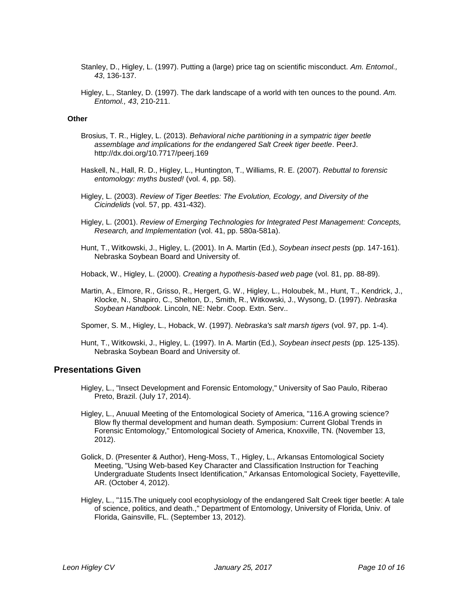- Stanley, D., Higley, L. (1997). Putting a (large) price tag on scientific misconduct. *Am. Entomol., 43*, 136-137.
- Higley, L., Stanley, D. (1997). The dark landscape of a world with ten ounces to the pound. *Am. Entomol., 43*, 210-211.

#### **Other**

- Brosius, T. R., Higley, L. (2013). *Behavioral niche partitioning in a sympatric tiger beetle assemblage and implications for the endangered Salt Creek tiger beetle*. PeerJ. http://dx.doi.org/10.7717/peerj.169
- Haskell, N., Hall, R. D., Higley, L., Huntington, T., Williams, R. E. (2007). *Rebuttal to forensic entomology: myths busted!* (vol. 4, pp. 58).
- Higley, L. (2003). *Review of Tiger Beetles: The Evolution, Ecology, and Diversity of the Cicindelids* (vol. 57, pp. 431-432).
- Higley, L. (2001). *Review of Emerging Technologies for Integrated Pest Management: Concepts, Research, and Implementation* (vol. 41, pp. 580a-581a).
- Hunt, T., Witkowski, J., Higley, L. (2001). In A. Martin (Ed.), *Soybean insect pests* (pp. 147-161). Nebraska Soybean Board and University of.

Hoback, W., Higley, L. (2000). *Creating a hypothesis-based web page* (vol. 81, pp. 88-89).

- Martin, A., Elmore, R., Grisso, R., Hergert, G. W., Higley, L., Holoubek, M., Hunt, T., Kendrick, J., Klocke, N., Shapiro, C., Shelton, D., Smith, R., Witkowski, J., Wysong, D. (1997). *Nebraska Soybean Handbook*. Lincoln, NE: Nebr. Coop. Extn. Serv..
- Spomer, S. M., Higley, L., Hoback, W. (1997). *Nebraska's salt marsh tigers* (vol. 97, pp. 1-4).
- Hunt, T., Witkowski, J., Higley, L. (1997). In A. Martin (Ed.), *Soybean insect pests* (pp. 125-135). Nebraska Soybean Board and University of.

### **Presentations Given**

- Higley, L., "Insect Development and Forensic Entomology," University of Sao Paulo, Riberao Preto, Brazil. (July 17, 2014).
- Higley, L., Anuual Meeting of the Entomological Society of America, "116.A growing science? Blow fly thermal development and human death. Symposium: Current Global Trends in Forensic Entomology," Entomological Society of America, Knoxville, TN. (November 13, 2012).
- Golick, D. (Presenter & Author), Heng-Moss, T., Higley, L., Arkansas Entomological Society Meeting, "Using Web-based Key Character and Classification Instruction for Teaching Undergraduate Students Insect Identification," Arkansas Entomological Society, Fayetteville, AR. (October 4, 2012).
- Higley, L., "115.The uniquely cool ecophysiology of the endangered Salt Creek tiger beetle: A tale of science, politics, and death.," Department of Entomology, University of Florida, Univ. of Florida, Gainsville, FL. (September 13, 2012).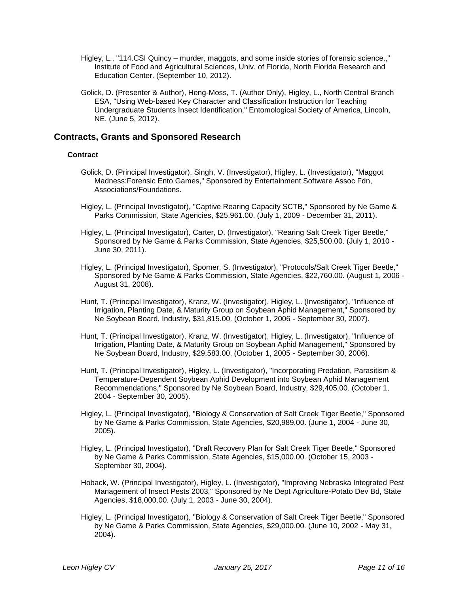- Higley, L., "114.CSI Quincy murder, maggots, and some inside stories of forensic science.," Institute of Food and Agricultural Sciences, Univ. of Florida, North Florida Research and Education Center. (September 10, 2012).
- Golick, D. (Presenter & Author), Heng-Moss, T. (Author Only), Higley, L., North Central Branch ESA, "Using Web-based Key Character and Classification Instruction for Teaching Undergraduate Students Insect Identification," Entomological Society of America, Lincoln, NE. (June 5, 2012).

### **Contracts, Grants and Sponsored Research**

### **Contract**

- Golick, D. (Principal Investigator), Singh, V. (Investigator), Higley, L. (Investigator), "Maggot Madness:Forensic Ento Games," Sponsored by Entertainment Software Assoc Fdn, Associations/Foundations.
- Higley, L. (Principal Investigator), "Captive Rearing Capacity SCTB," Sponsored by Ne Game & Parks Commission, State Agencies, \$25,961.00. (July 1, 2009 - December 31, 2011).
- Higley, L. (Principal Investigator), Carter, D. (Investigator), "Rearing Salt Creek Tiger Beetle," Sponsored by Ne Game & Parks Commission, State Agencies, \$25,500.00. (July 1, 2010 - June 30, 2011).
- Higley, L. (Principal Investigator), Spomer, S. (Investigator), "Protocols/Salt Creek Tiger Beetle," Sponsored by Ne Game & Parks Commission, State Agencies, \$22,760.00. (August 1, 2006 - August 31, 2008).
- Hunt, T. (Principal Investigator), Kranz, W. (Investigator), Higley, L. (Investigator), "Influence of Irrigation, Planting Date, & Maturity Group on Soybean Aphid Management," Sponsored by Ne Soybean Board, Industry, \$31,815.00. (October 1, 2006 - September 30, 2007).
- Hunt, T. (Principal Investigator), Kranz, W. (Investigator), Higley, L. (Investigator), "Influence of Irrigation, Planting Date, & Maturity Group on Soybean Aphid Management," Sponsored by Ne Soybean Board, Industry, \$29,583.00. (October 1, 2005 - September 30, 2006).
- Hunt, T. (Principal Investigator), Higley, L. (Investigator), "Incorporating Predation, Parasitism & Temperature-Dependent Soybean Aphid Development into Soybean Aphid Management Recommendations," Sponsored by Ne Soybean Board, Industry, \$29,405.00. (October 1, 2004 - September 30, 2005).
- Higley, L. (Principal Investigator), "Biology & Conservation of Salt Creek Tiger Beetle," Sponsored by Ne Game & Parks Commission, State Agencies, \$20,989.00. (June 1, 2004 - June 30, 2005).
- Higley, L. (Principal Investigator), "Draft Recovery Plan for Salt Creek Tiger Beetle," Sponsored by Ne Game & Parks Commission, State Agencies, \$15,000.00. (October 15, 2003 - September 30, 2004).
- Hoback, W. (Principal Investigator), Higley, L. (Investigator), "Improving Nebraska Integrated Pest Management of Insect Pests 2003," Sponsored by Ne Dept Agriculture-Potato Dev Bd, State Agencies, \$18,000.00. (July 1, 2003 - June 30, 2004).
- Higley, L. (Principal Investigator), "Biology & Conservation of Salt Creek Tiger Beetle," Sponsored by Ne Game & Parks Commission, State Agencies, \$29,000.00. (June 10, 2002 - May 31, 2004).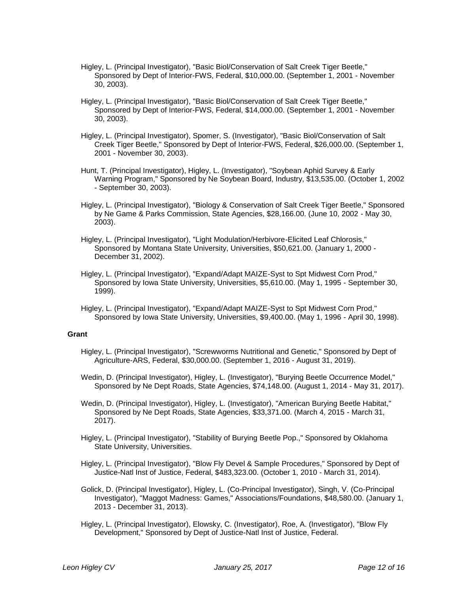- Higley, L. (Principal Investigator), "Basic Biol/Conservation of Salt Creek Tiger Beetle," Sponsored by Dept of Interior-FWS, Federal, \$10,000.00. (September 1, 2001 - November 30, 2003).
- Higley, L. (Principal Investigator), "Basic Biol/Conservation of Salt Creek Tiger Beetle," Sponsored by Dept of Interior-FWS, Federal, \$14,000.00. (September 1, 2001 - November 30, 2003).
- Higley, L. (Principal Investigator), Spomer, S. (Investigator), "Basic Biol/Conservation of Salt Creek Tiger Beetle," Sponsored by Dept of Interior-FWS, Federal, \$26,000.00. (September 1, 2001 - November 30, 2003).
- Hunt, T. (Principal Investigator), Higley, L. (Investigator), "Soybean Aphid Survey & Early Warning Program," Sponsored by Ne Soybean Board, Industry, \$13,535.00. (October 1, 2002 - September 30, 2003).
- Higley, L. (Principal Investigator), "Biology & Conservation of Salt Creek Tiger Beetle," Sponsored by Ne Game & Parks Commission, State Agencies, \$28,166.00. (June 10, 2002 - May 30, 2003).
- Higley, L. (Principal Investigator), "Light Modulation/Herbivore-Elicited Leaf Chlorosis," Sponsored by Montana State University, Universities, \$50,621.00. (January 1, 2000 - December 31, 2002).
- Higley, L. (Principal Investigator), "Expand/Adapt MAIZE-Syst to Spt Midwest Corn Prod," Sponsored by Iowa State University, Universities, \$5,610.00. (May 1, 1995 - September 30, 1999).
- Higley, L. (Principal Investigator), "Expand/Adapt MAIZE-Syst to Spt Midwest Corn Prod," Sponsored by Iowa State University, Universities, \$9,400.00. (May 1, 1996 - April 30, 1998).

#### **Grant**

- Higley, L. (Principal Investigator), "Screwworms Nutritional and Genetic," Sponsored by Dept of Agriculture-ARS, Federal, \$30,000.00. (September 1, 2016 - August 31, 2019).
- Wedin, D. (Principal Investigator), Higley, L. (Investigator), "Burying Beetle Occurrence Model," Sponsored by Ne Dept Roads, State Agencies, \$74,148.00. (August 1, 2014 - May 31, 2017).
- Wedin, D. (Principal Investigator), Higley, L. (Investigator), "American Burying Beetle Habitat," Sponsored by Ne Dept Roads, State Agencies, \$33,371.00. (March 4, 2015 - March 31, 2017).
- Higley, L. (Principal Investigator), "Stability of Burying Beetle Pop.," Sponsored by Oklahoma State University, Universities.
- Higley, L. (Principal Investigator), "Blow Fly Devel & Sample Procedures," Sponsored by Dept of Justice-Natl Inst of Justice, Federal, \$483,323.00. (October 1, 2010 - March 31, 2014).
- Golick, D. (Principal Investigator), Higley, L. (Co-Principal Investigator), Singh, V. (Co-Principal Investigator), "Maggot Madness: Games," Associations/Foundations, \$48,580.00. (January 1, 2013 - December 31, 2013).
- Higley, L. (Principal Investigator), Elowsky, C. (Investigator), Roe, A. (Investigator), "Blow Fly Development," Sponsored by Dept of Justice-Natl Inst of Justice, Federal.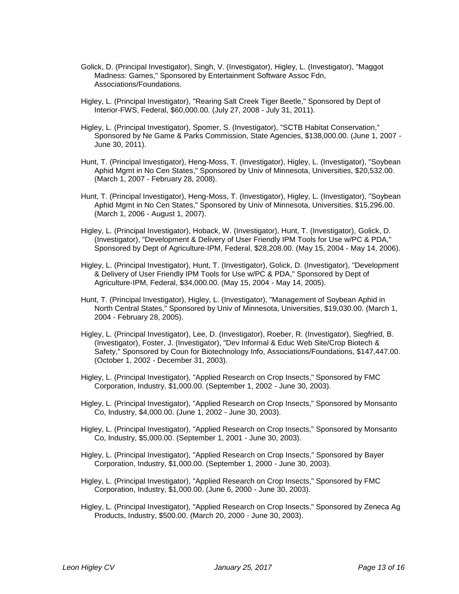- Golick, D. (Principal Investigator), Singh, V. (Investigator), Higley, L. (Investigator), "Maggot Madness: Games," Sponsored by Entertainment Software Assoc Fdn, Associations/Foundations.
- Higley, L. (Principal Investigator), "Rearing Salt Creek Tiger Beetle," Sponsored by Dept of Interior-FWS, Federal, \$60,000.00. (July 27, 2008 - July 31, 2011).
- Higley, L. (Principal Investigator), Spomer, S. (Investigator), "SCTB Habitat Conservation," Sponsored by Ne Game & Parks Commission, State Agencies, \$138,000.00. (June 1, 2007 - June 30, 2011).
- Hunt, T. (Principal Investigator), Heng-Moss, T. (Investigator), Higley, L. (Investigator), "Soybean Aphid Mgmt in No Cen States," Sponsored by Univ of Minnesota, Universities, \$20,532.00. (March 1, 2007 - February 28, 2008).
- Hunt, T. (Principal Investigator), Heng-Moss, T. (Investigator), Higley, L. (Investigator), "Soybean Aphid Mgmt in No Cen States," Sponsored by Univ of Minnesota, Universities, \$15,296.00. (March 1, 2006 - August 1, 2007).
- Higley, L. (Principal Investigator), Hoback, W. (Investigator), Hunt, T. (Investigator), Golick, D. (Investigator), "Development & Delivery of User Friendly IPM Tools for Use w/PC & PDA," Sponsored by Dept of Agriculture-IPM, Federal, \$28,208.00. (May 15, 2004 - May 14, 2006).
- Higley, L. (Principal Investigator), Hunt, T. (Investigator), Golick, D. (Investigator), "Development & Delivery of User Friendly IPM Tools for Use w/PC & PDA," Sponsored by Dept of Agriculture-IPM, Federal, \$34,000.00. (May 15, 2004 - May 14, 2005).
- Hunt, T. (Principal Investigator), Higley, L. (Investigator), "Management of Soybean Aphid in North Central States," Sponsored by Univ of Minnesota, Universities, \$19,030.00. (March 1, 2004 - February 28, 2005).
- Higley, L. (Principal Investigator), Lee, D. (Investigator), Roeber, R. (Investigator), Siegfried, B. (Investigator), Foster, J. (Investigator), "Dev Informal & Educ Web Site/Crop Biotech & Safety," Sponsored by Coun for Biotechnology Info, Associations/Foundations, \$147,447.00. (October 1, 2002 - December 31, 2003).
- Higley, L. (Principal Investigator), "Applied Research on Crop Insects," Sponsored by FMC Corporation, Industry, \$1,000.00. (September 1, 2002 - June 30, 2003).
- Higley, L. (Principal Investigator), "Applied Research on Crop Insects," Sponsored by Monsanto Co, Industry, \$4,000.00. (June 1, 2002 - June 30, 2003).
- Higley, L. (Principal Investigator), "Applied Research on Crop Insects," Sponsored by Monsanto Co, Industry, \$5,000.00. (September 1, 2001 - June 30, 2003).
- Higley, L. (Principal Investigator), "Applied Research on Crop Insects," Sponsored by Bayer Corporation, Industry, \$1,000.00. (September 1, 2000 - June 30, 2003).
- Higley, L. (Principal Investigator), "Applied Research on Crop Insects," Sponsored by FMC Corporation, Industry, \$1,000.00. (June 6, 2000 - June 30, 2003).
- Higley, L. (Principal Investigator), "Applied Research on Crop Insects," Sponsored by Zeneca Ag Products, Industry, \$500.00. (March 20, 2000 - June 30, 2003).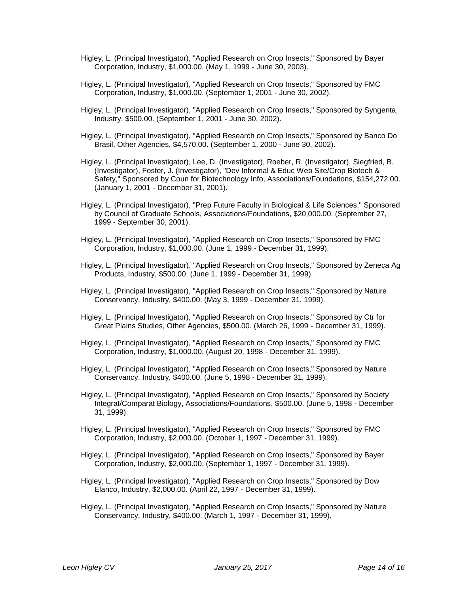- Higley, L. (Principal Investigator), "Applied Research on Crop Insects," Sponsored by Bayer Corporation, Industry, \$1,000.00. (May 1, 1999 - June 30, 2003).
- Higley, L. (Principal Investigator), "Applied Research on Crop Insects," Sponsored by FMC Corporation, Industry, \$1,000.00. (September 1, 2001 - June 30, 2002).
- Higley, L. (Principal Investigator), "Applied Research on Crop Insects," Sponsored by Syngenta, Industry, \$500.00. (September 1, 2001 - June 30, 2002).
- Higley, L. (Principal Investigator), "Applied Research on Crop Insects," Sponsored by Banco Do Brasil, Other Agencies, \$4,570.00. (September 1, 2000 - June 30, 2002).
- Higley, L. (Principal Investigator), Lee, D. (Investigator), Roeber, R. (Investigator), Siegfried, B. (Investigator), Foster, J. (Investigator), "Dev Informal & Educ Web Site/Crop Biotech & Safety," Sponsored by Coun for Biotechnology Info, Associations/Foundations, \$154,272.00. (January 1, 2001 - December 31, 2001).
- Higley, L. (Principal Investigator), "Prep Future Faculty in Biological & Life Sciences," Sponsored by Council of Graduate Schools, Associations/Foundations, \$20,000.00. (September 27, 1999 - September 30, 2001).
- Higley, L. (Principal Investigator), "Applied Research on Crop Insects," Sponsored by FMC Corporation, Industry, \$1,000.00. (June 1, 1999 - December 31, 1999).
- Higley, L. (Principal Investigator), "Applied Research on Crop Insects," Sponsored by Zeneca Ag Products, Industry, \$500.00. (June 1, 1999 - December 31, 1999).
- Higley, L. (Principal Investigator), "Applied Research on Crop Insects," Sponsored by Nature Conservancy, Industry, \$400.00. (May 3, 1999 - December 31, 1999).
- Higley, L. (Principal Investigator), "Applied Research on Crop Insects," Sponsored by Ctr for Great Plains Studies, Other Agencies, \$500.00. (March 26, 1999 - December 31, 1999).
- Higley, L. (Principal Investigator), "Applied Research on Crop Insects," Sponsored by FMC Corporation, Industry, \$1,000.00. (August 20, 1998 - December 31, 1999).
- Higley, L. (Principal Investigator), "Applied Research on Crop Insects," Sponsored by Nature Conservancy, Industry, \$400.00. (June 5, 1998 - December 31, 1999).
- Higley, L. (Principal Investigator), "Applied Research on Crop Insects," Sponsored by Society Integrat/Comparat Biology, Associations/Foundations, \$500.00. (June 5, 1998 - December 31, 1999).
- Higley, L. (Principal Investigator), "Applied Research on Crop Insects," Sponsored by FMC Corporation, Industry, \$2,000.00. (October 1, 1997 - December 31, 1999).
- Higley, L. (Principal Investigator), "Applied Research on Crop Insects," Sponsored by Bayer Corporation, Industry, \$2,000.00. (September 1, 1997 - December 31, 1999).
- Higley, L. (Principal Investigator), "Applied Research on Crop Insects," Sponsored by Dow Elanco, Industry, \$2,000.00. (April 22, 1997 - December 31, 1999).
- Higley, L. (Principal Investigator), "Applied Research on Crop Insects," Sponsored by Nature Conservancy, Industry, \$400.00. (March 1, 1997 - December 31, 1999).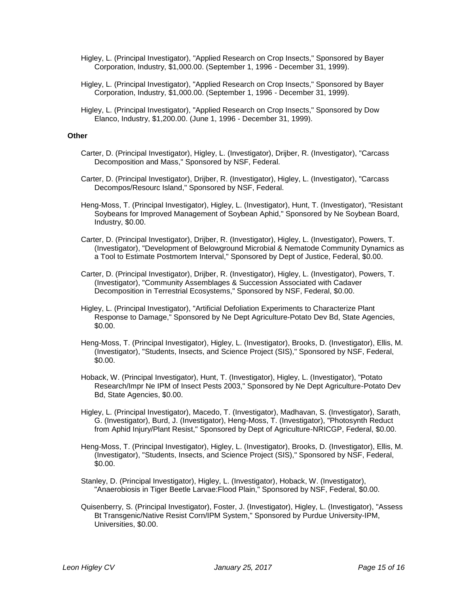- Higley, L. (Principal Investigator), "Applied Research on Crop Insects," Sponsored by Bayer Corporation, Industry, \$1,000.00. (September 1, 1996 - December 31, 1999).
- Higley, L. (Principal Investigator), "Applied Research on Crop Insects," Sponsored by Bayer Corporation, Industry, \$1,000.00. (September 1, 1996 - December 31, 1999).
- Higley, L. (Principal Investigator), "Applied Research on Crop Insects," Sponsored by Dow Elanco, Industry, \$1,200.00. (June 1, 1996 - December 31, 1999).

#### **Other**

- Carter, D. (Principal Investigator), Higley, L. (Investigator), Drijber, R. (Investigator), "Carcass Decomposition and Mass," Sponsored by NSF, Federal.
- Carter, D. (Principal Investigator), Drijber, R. (Investigator), Higley, L. (Investigator), "Carcass Decompos/Resourc Island," Sponsored by NSF, Federal.
- Heng-Moss, T. (Principal Investigator), Higley, L. (Investigator), Hunt, T. (Investigator), "Resistant Soybeans for Improved Management of Soybean Aphid," Sponsored by Ne Soybean Board, Industry, \$0.00.
- Carter, D. (Principal Investigator), Drijber, R. (Investigator), Higley, L. (Investigator), Powers, T. (Investigator), "Development of Belowground Microbial & Nematode Community Dynamics as a Tool to Estimate Postmortem Interval," Sponsored by Dept of Justice, Federal, \$0.00.
- Carter, D. (Principal Investigator), Drijber, R. (Investigator), Higley, L. (Investigator), Powers, T. (Investigator), "Community Assemblages & Succession Associated with Cadaver Decomposition in Terrestrial Ecosystems," Sponsored by NSF, Federal, \$0.00.
- Higley, L. (Principal Investigator), "Artificial Defoliation Experiments to Characterize Plant Response to Damage," Sponsored by Ne Dept Agriculture-Potato Dev Bd, State Agencies, \$0.00.
- Heng-Moss, T. (Principal Investigator), Higley, L. (Investigator), Brooks, D. (Investigator), Ellis, M. (Investigator), "Students, Insects, and Science Project (SIS)," Sponsored by NSF, Federal, \$0.00.
- Hoback, W. (Principal Investigator), Hunt, T. (Investigator), Higley, L. (Investigator), "Potato Research/Impr Ne IPM of Insect Pests 2003," Sponsored by Ne Dept Agriculture-Potato Dev Bd, State Agencies, \$0.00.
- Higley, L. (Principal Investigator), Macedo, T. (Investigator), Madhavan, S. (Investigator), Sarath, G. (Investigator), Burd, J. (Investigator), Heng-Moss, T. (Investigator), "Photosynth Reduct from Aphid Injury/Plant Resist," Sponsored by Dept of Agriculture-NRICGP, Federal, \$0.00.
- Heng-Moss, T. (Principal Investigator), Higley, L. (Investigator), Brooks, D. (Investigator), Ellis, M. (Investigator), "Students, Insects, and Science Project (SIS)," Sponsored by NSF, Federal, \$0.00.
- Stanley, D. (Principal Investigator), Higley, L. (Investigator), Hoback, W. (Investigator), "Anaerobiosis in Tiger Beetle Larvae:Flood Plain," Sponsored by NSF, Federal, \$0.00.
- Quisenberry, S. (Principal Investigator), Foster, J. (Investigator), Higley, L. (Investigator), "Assess Bt Transgenic/Native Resist Corn/IPM System," Sponsored by Purdue University-IPM, Universities, \$0.00.